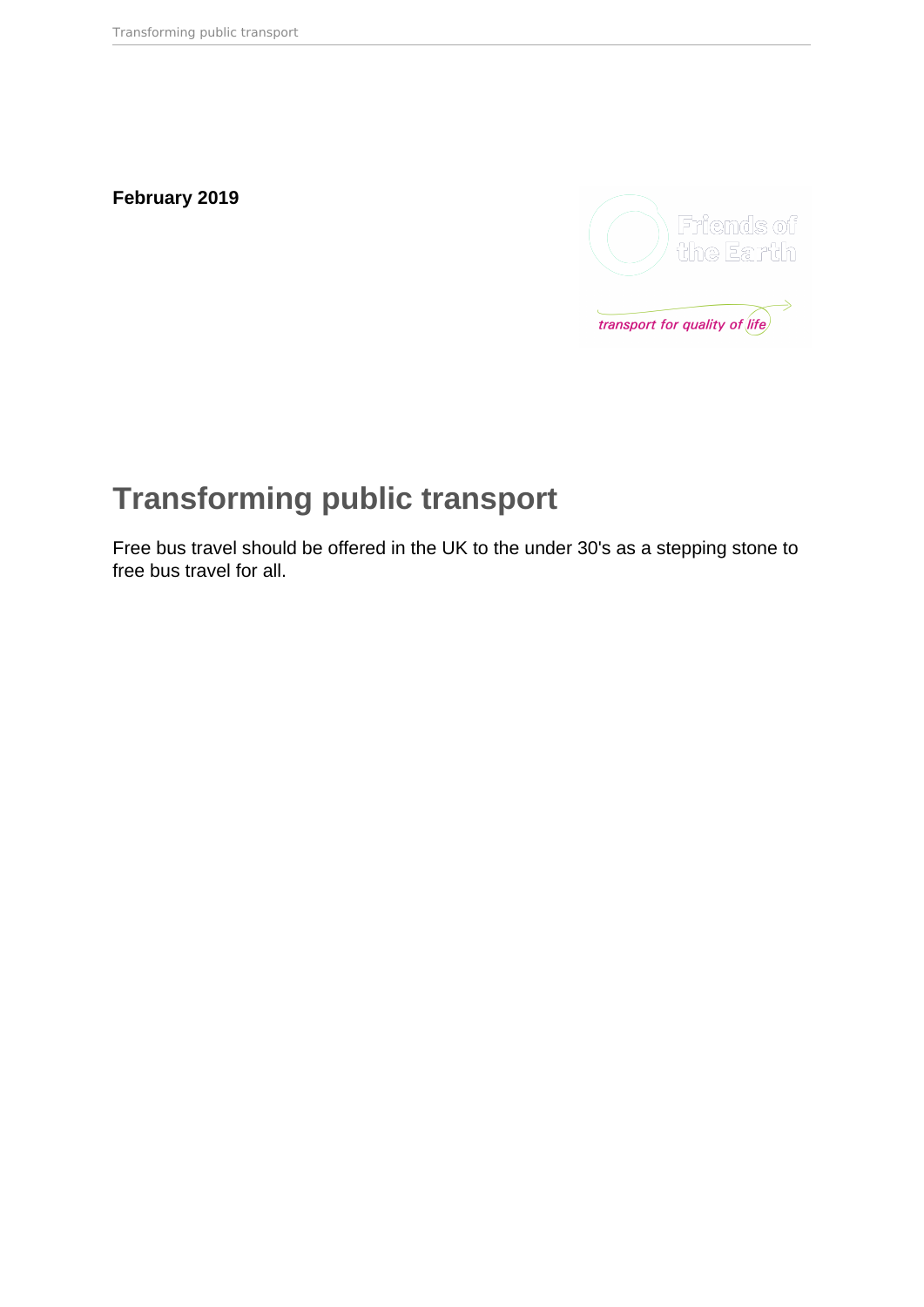**February 2019**



# **Transforming public transport**

Free bus travel should be offered in the UK to the under 30's as a stepping stone to free bus travel for all.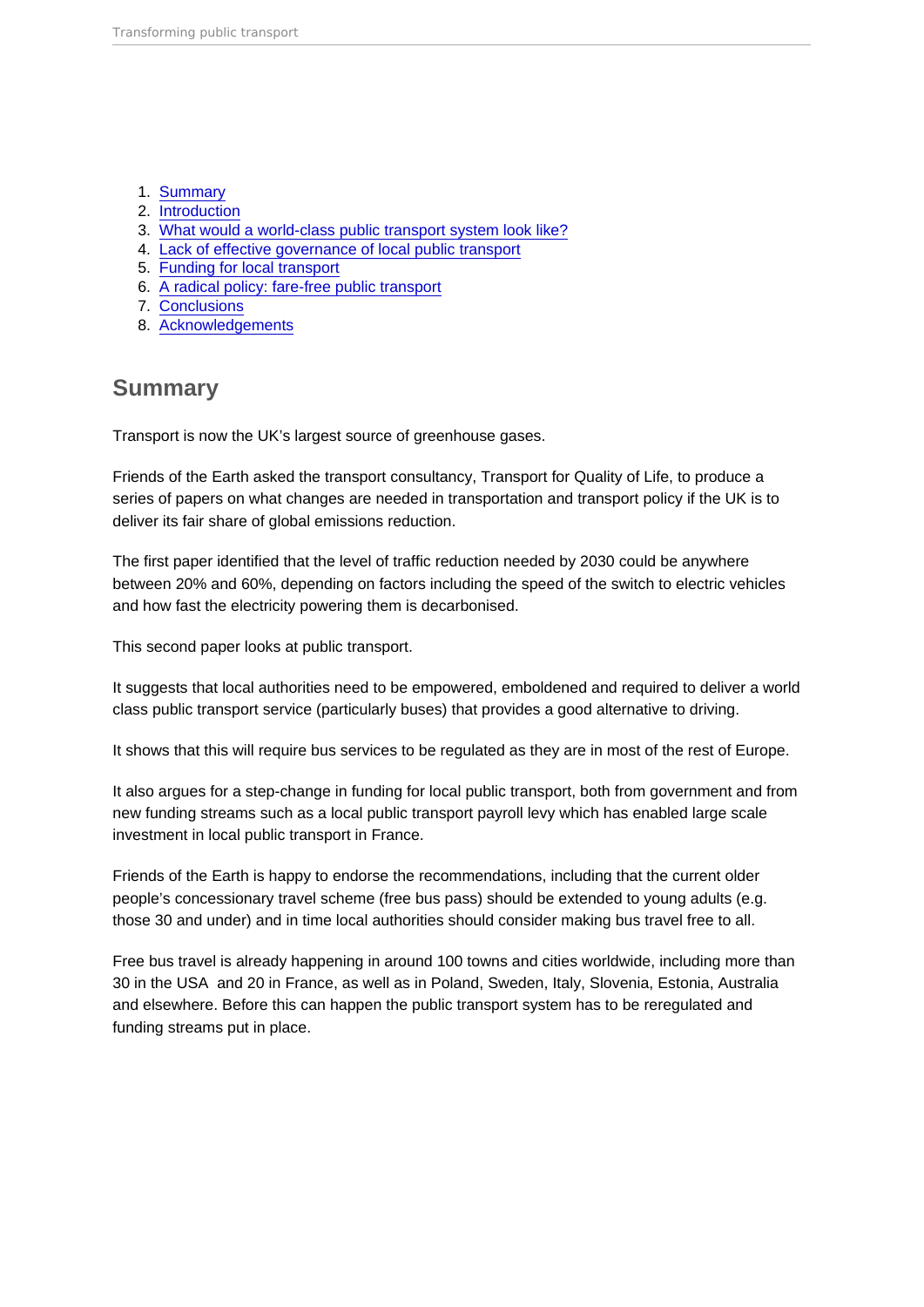- 1. Summary
- 2. [Introduction](#page-2-0)
- 3. [What would a world-class public transport system look like?](#page-2-0)
- 4. [Lack of effective governance of local public transport](#page-4-0)
- 5. [Funding for local transport](#page-8-0)
- 6. [A radical policy: fare-free public transport](#page-9-0)
- 7. [Conclusions](#page-11-0)
- 8. [Acknowledgements](#page-11-0)

### **Summary**

Transport is now the UK's largest source of greenhouse gases.

Friends of the Earth asked the transport consultancy, Transport for Quality of Life, to produce a series of papers on what changes are needed in transportation and transport policy if the UK is to deliver its fair share of global emissions reduction.

The first paper identified that the level of traffic reduction needed by 2030 could be anywhere between 20% and 60%, depending on factors including the speed of the switch to electric vehicles and how fast the electricity powering them is decarbonised.

This second paper looks at public transport.

It suggests that local authorities need to be empowered, emboldened and required to deliver a world class public transport service (particularly buses) that provides a good alternative to driving.

It shows that this will require bus services to be regulated as they are in most of the rest of Europe.

It also argues for a step-change in funding for local public transport, both from government and from new funding streams such as a local public transport payroll levy which has enabled large scale investment in local public transport in France.

Friends of the Earth is happy to endorse the recommendations, including that the current older people's concessionary travel scheme (free bus pass) should be extended to young adults (e.g. those 30 and under) and in time local authorities should consider making bus travel free to all.

Free bus travel is already happening in around 100 towns and cities worldwide, including more than 30 in the USA and 20 in France, as well as in Poland, Sweden, Italy, Slovenia, Estonia, Australia and elsewhere. Before this can happen the public transport system has to be reregulated and funding streams put in place.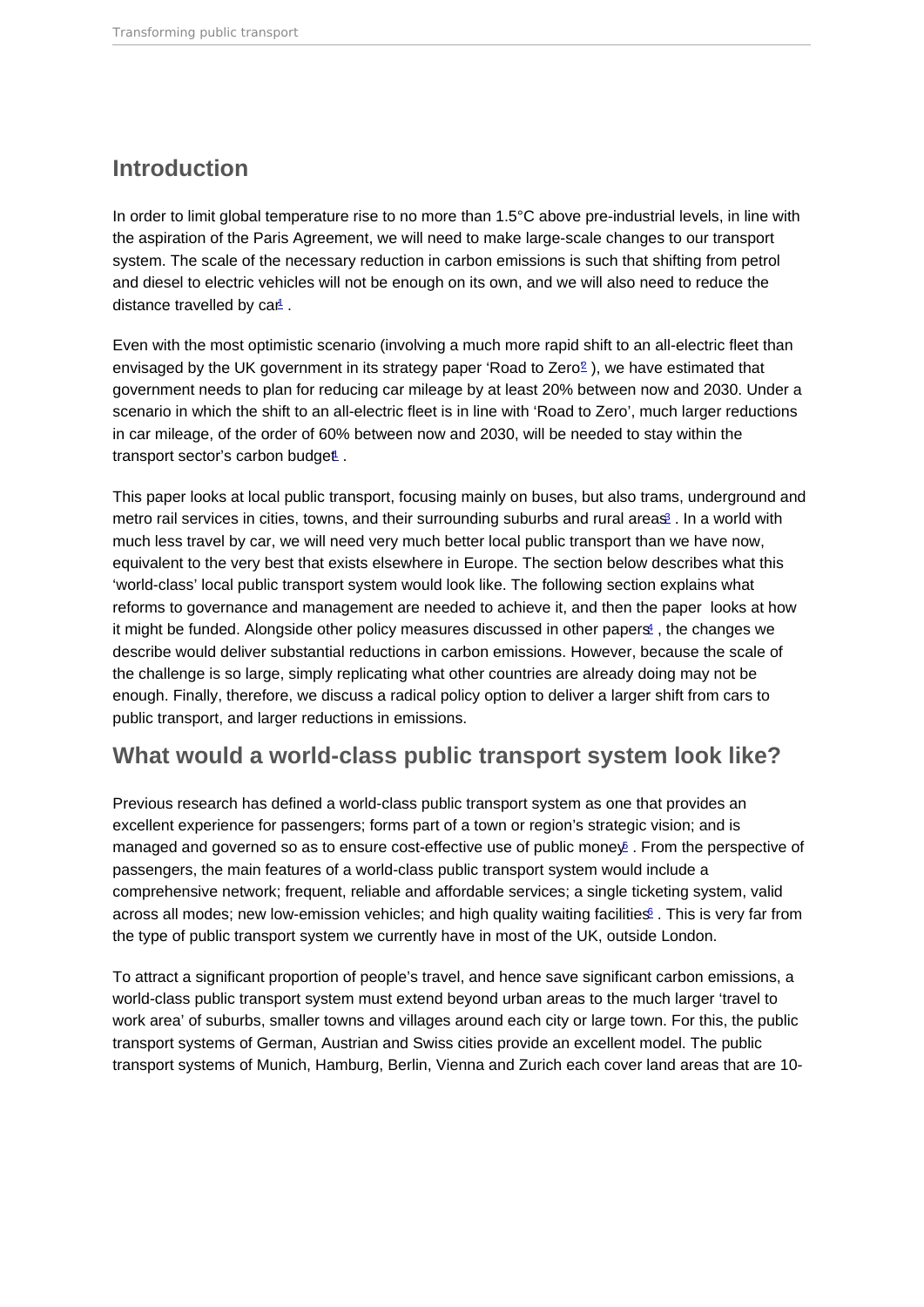#### <span id="page-2-0"></span>Introduction

In order to limit global temperature rise to no more than 1.5°C above pre-industrial levels, in line with the aspiration of the Paris Agreement, we will need to make large-scale changes to our transport system. The scale of the necessary reduction in carbon emissions is such that shifting from petrol and diesel to electric vehicles will not be enough on its own, and we will also need to reduce the distance travelled by car<sup>[1](#page-13-0)</sup>.

Even with the most optimistic scenario (involving a much more rapid shift to an all-electric fleet than envisaged by the UK government in its strategy paper 'Road to Zero<sup>[2](#page-13-0)</sup>), we have estimated that government needs to plan for reducing car mileage by at least 20% between now and 2030. Under a scenario in which the shift to an all-electric fleet is in line with 'Road to Zero', much larger reductions in car mileage, of the order of 60% between now and 2030, will be needed to stay within the transport sector's carbon budget.

This paper looks at local public transport, focusing mainly on buses, but also trams, underground and metro rail services in cities, towns, and their surrounding suburbs and rural areas<sup>2</sup>. In a world with much less travel by car, we will need very much better local public transport than we have now, equivalent to the very best that exists elsewhere in Europe. The section below describes what this 'world-class' local public transport system would look like. The following section explains what reforms to governance and management are needed to achieve it, and then the paper looks at how it might be funded. Alongside other policy measures discussed in other papers<sup>[4](#page-13-0)</sup>, the changes we describe would deliver substantial reductions in carbon emissions. However, because the scale of the challenge is so large, simply replicating what other countries are already doing may not be enough. Finally, therefore, we discuss a radical policy option to deliver a larger shift from cars to public transport, and larger reductions in emissions.

#### What would a world-class public transport system look like?

Previous research has defined a world-class public transport system as one that provides an excellent experience for passengers; forms part of a town or region's strategic vision; and is managed and governed so as to ensure cost-effective use of public mone  $\varphi$ . From the perspective of passengers, the main features of a world-class public transport system would include a comprehensive network; frequent, reliable and affordable services; a single ticketing system, valid across all modes; new low-emission vehicles; and high quality waiting facilities far is very far from the type of public transport system we currently have in most of the UK, outside London.

To attract a significant proportion of people's travel, and hence save significant carbon emissions, a world-class public transport system must extend beyond urban areas to the much larger 'travel to work area' of suburbs, smaller towns and villages around each city or large town. For this, the public transport systems of German, Austrian and Swiss cities provide an excellent model. The public transport systems of Munich, Hamburg, Berlin, Vienna and Zurich each cover land areas that are 10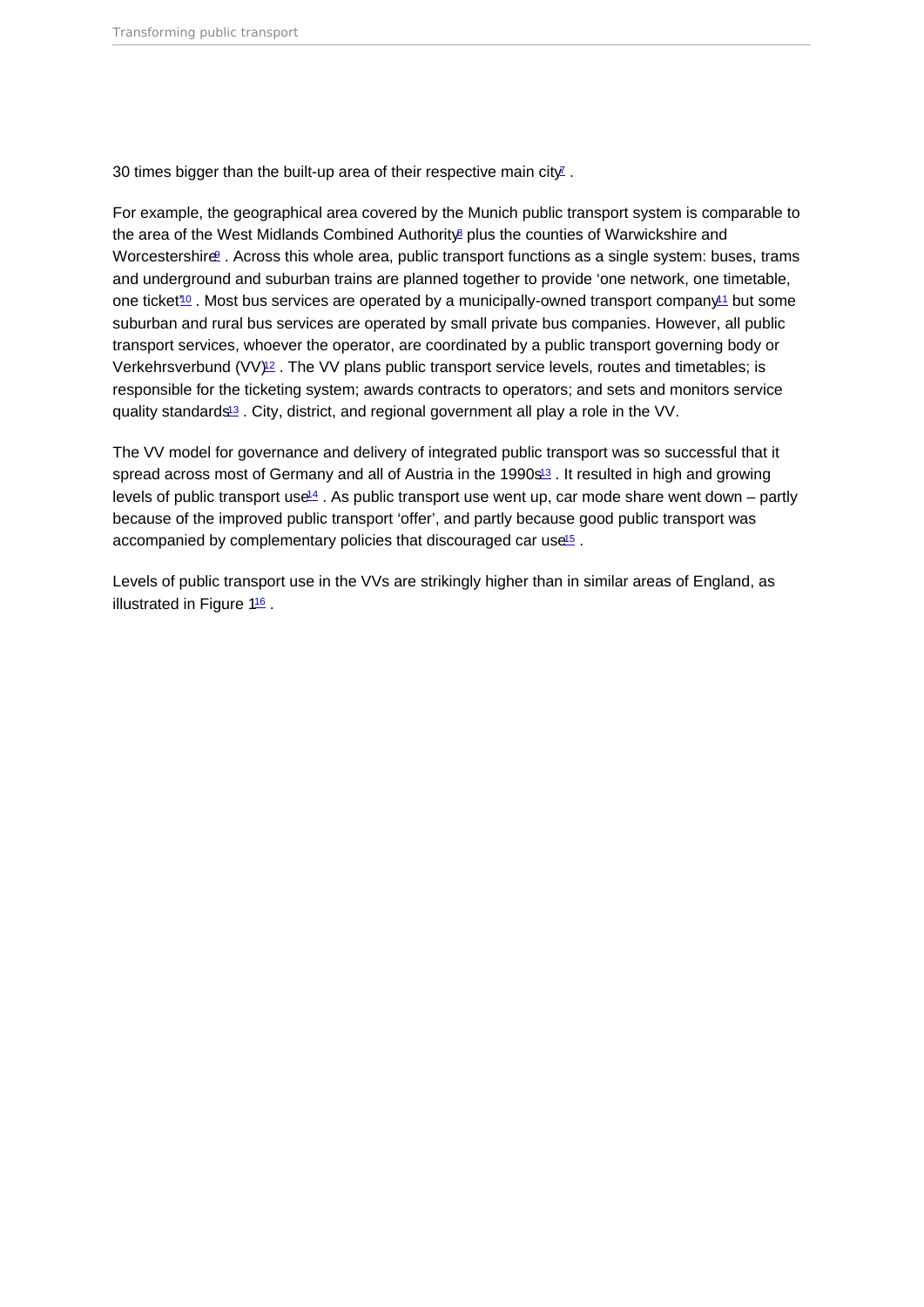<span id="page-3-0"></span>30 times bigger than the built-up area of their respective main city  $\overline{I}$ .

For example, the geographical area covered by the Munich public transport system is comparable to the area of the West Midlands Combined Authority plus the counties of Warwickshire and Worcestershire<sup>[9](#page-13-0)</sup> . Across this whole area, public transport functions as a single system: buses, trams and underground and suburban trains are planned together to provide 'one network, one timetable, one ticket<sup>[10](#page-13-0)</sup>. Most bus services are operated by a municipally-owned transport company<sup>[11](#page-13-0)</sup> but some suburban and rural bus services are operated by small private bus companies. However, all public transport services, whoever the operator, are coordinated by a public transport governing body or Verkehrsverbund  $(VV)_{2}$ . The VV plans public transport service levels, routes and timetables; is responsible for the ticketing system; awards contracts to operators; and sets and monitors service quality standards<sup>[13](#page-13-0)</sup>. City, district, and regional government all play a role in the VV.

The VV model for governance and delivery of integrated public transport was so successful that it spread across most of Germany and all of Austria in the 1990 $s<sup>13</sup>$  $s<sup>13</sup>$  $s<sup>13</sup>$ . It resulted in high and growing levels of public transport use<sup>14</sup>. As public transport use went up, car mode share went down – partly because of the improved public transport 'offer', and partly because good public transport was accompanied by complementary policies that discouraged car use<sup>[15](#page-14-0)</sup>.

Levels of public transport use in the VVs are strikingly higher than in similar areas of England, as illustrated in Figure 1[16](#page-14-0) .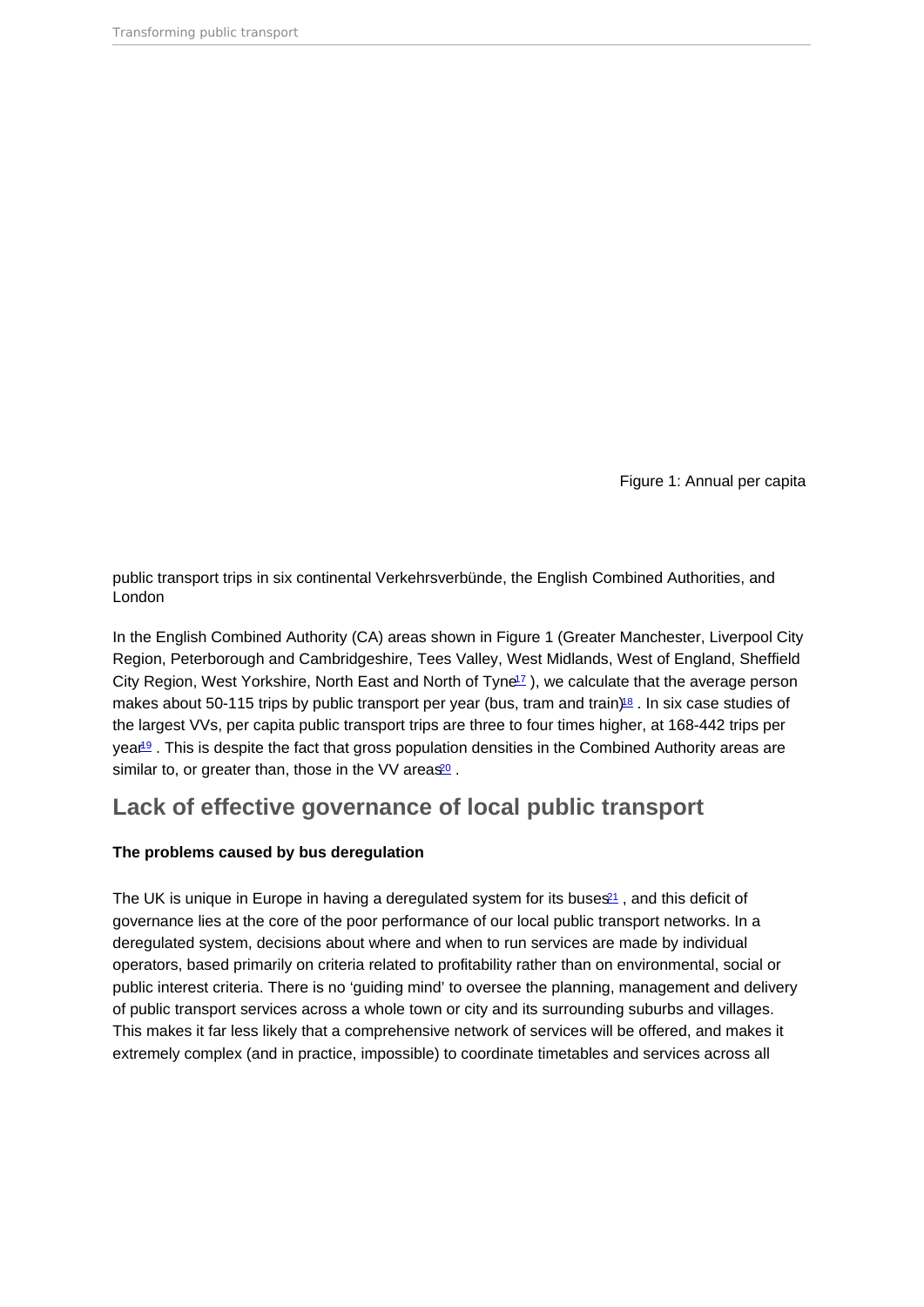Figure 1: Annual per capita

<span id="page-4-0"></span>public transport trips in six continental Verkehrsverbünde, the English Combined Authorities, and London

In the English Combined Authority (CA) areas shown in Figure 1 (Greater Manchester, Liverpool City Region, Peterborough and Cambridgeshire, Tees Valley, West Midlands, West of England, Sheffield City Region, West Yorkshire, North East and North of Tyne<sup>[17](#page-14-0)</sup>), we calculate that the average person makes about 50-115 trips by public transport per year (bus, tram and train)<sup>[18](#page-14-0)</sup>. In six case studies of the largest VVs, per capita public transport trips are three to four times higher, at 168-442 trips per year<sup>[19](#page-14-0)</sup>. This is despite the fact that gross population densities in the Combined Authority areas are similar to, or greater than, those in the VV areas<sup>[20](#page-14-0)</sup>.

#### Lack of effective governance of local public transport

The problems caused by bus deregulation

The UK is unique in Europe in having a deregulated system for its buses<sup>[21](#page-14-0)</sup>, and this deficit of governance lies at the core of the poor performance of our local public transport networks. In a deregulated system, decisions about where and when to run services are made by individual operators, based primarily on criteria related to profitability rather than on environmental, social or public interest criteria. There is no 'guiding mind' to oversee the planning, management and delivery of public transport services across a whole town or city and its surrounding suburbs and villages. This makes it far less likely that a comprehensive network of services will be offered, and makes it extremely complex (and in practice, impossible) to coordinate timetables and services across all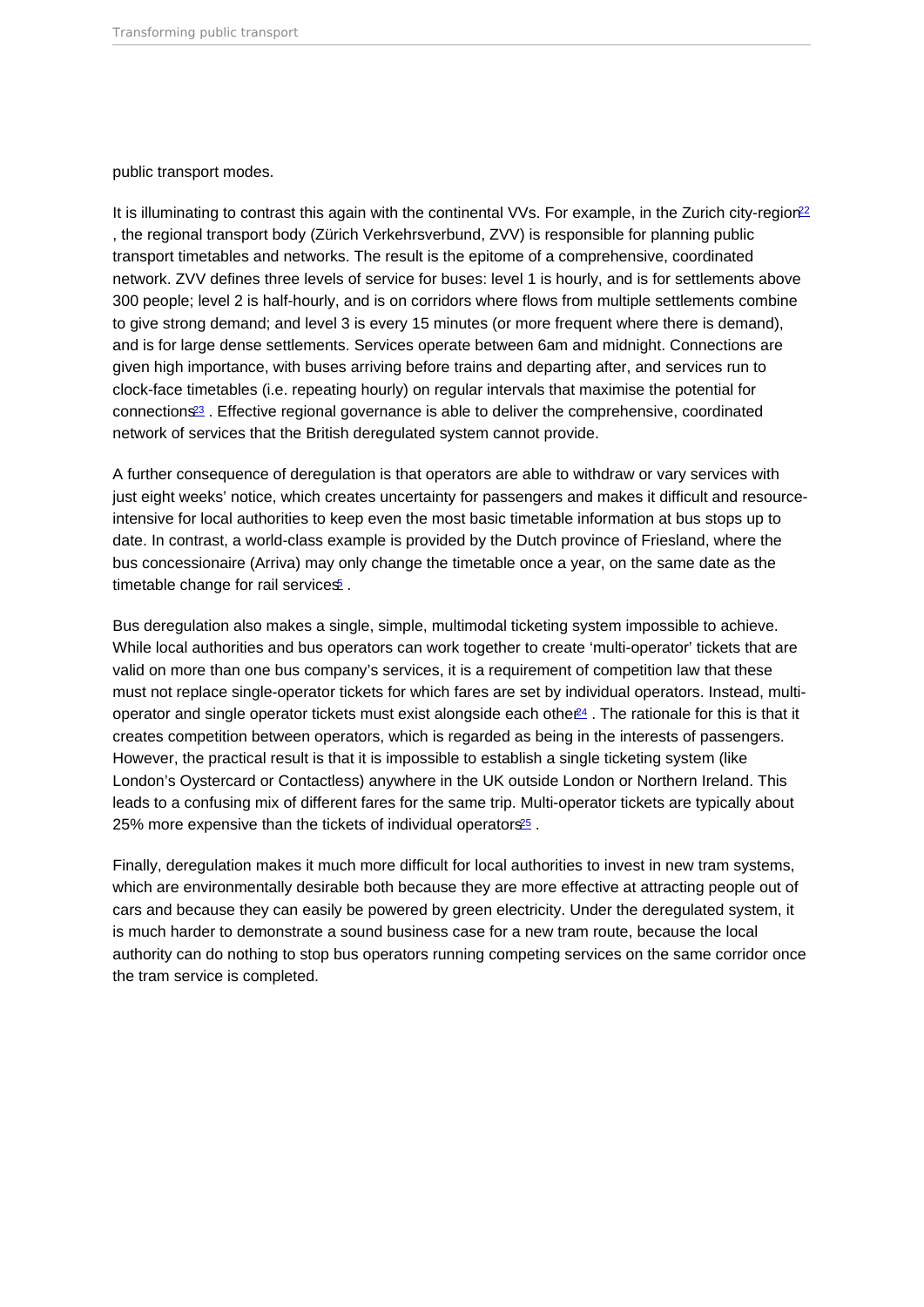<span id="page-5-0"></span>public transport modes.

It is illuminating to contrast this again with the continental VVs. For example, in the Zurich city-region<sup>[22](#page-14-0)</sup> , the regional transport body (Zürich Verkehrsverbund, ZVV) is responsible for planning public transport timetables and networks. The result is the epitome of a comprehensive, coordinated network. ZVV defines three levels of service for buses: level 1 is hourly, and is for settlements above 300 people; level 2 is half-hourly, and is on corridors where flows from multiple settlements combine to give strong demand; and level 3 is every 15 minutes (or more frequent where there is demand), and is for large dense settlements. Services operate between 6am and midnight. Connections are given high importance, with buses arriving before trains and departing after, and services run to clock-face timetables (i.e. repeating hourly) on regular intervals that maximise the potential for connections[23](#page-14-0) . Effective regional governance is able to deliver the comprehensive, coordinated network of services that the British deregulated system cannot provide.

A further consequence of deregulation is that operators are able to withdraw or vary services with just eight weeks' notice, which creates uncertainty for passengers and makes it difficult and resourceintensive for local authorities to keep even the most basic timetable information at bus stops up to date. In contrast, a world-class example is provided by the Dutch province of Friesland, where the bus concessionaire (Arriva) may only change the timetable once a year, on the same date as the timetable change for rail services<sup>[5](#page-13-0)</sup>.

Bus deregulation also makes a single, simple, multimodal ticketing system impossible to achieve. While local authorities and bus operators can work together to create 'multi-operator' tickets that are valid on more than one bus company's services, it is a requirement of competition law that these must not replace single-operator tickets for which fares are set by individual operators. Instead, multioperator and single operator tickets must exist alongside each othe  $\ell$ <sup>4</sup>. The rationale for this is that it creates competition between operators, which is regarded as being in the interests of passengers. However, the practical result is that it is impossible to establish a single ticketing system (like London's Oystercard or Contactless) anywhere in the UK outside London or Northern Ireland. This leads to a confusing mix of different fares for the same trip. Multi-operator tickets are typically about 25% more expensive than the tickets of individual operators<sup>25</sup>.

Finally, deregulation makes it much more difficult for local authorities to invest in new tram systems, which are environmentally desirable both because they are more effective at attracting people out of cars and because they can easily be powered by green electricity. Under the deregulated system, it is much harder to demonstrate a sound business case for a new tram route, because the local authority can do nothing to stop bus operators running competing services on the same corridor once the tram service is completed.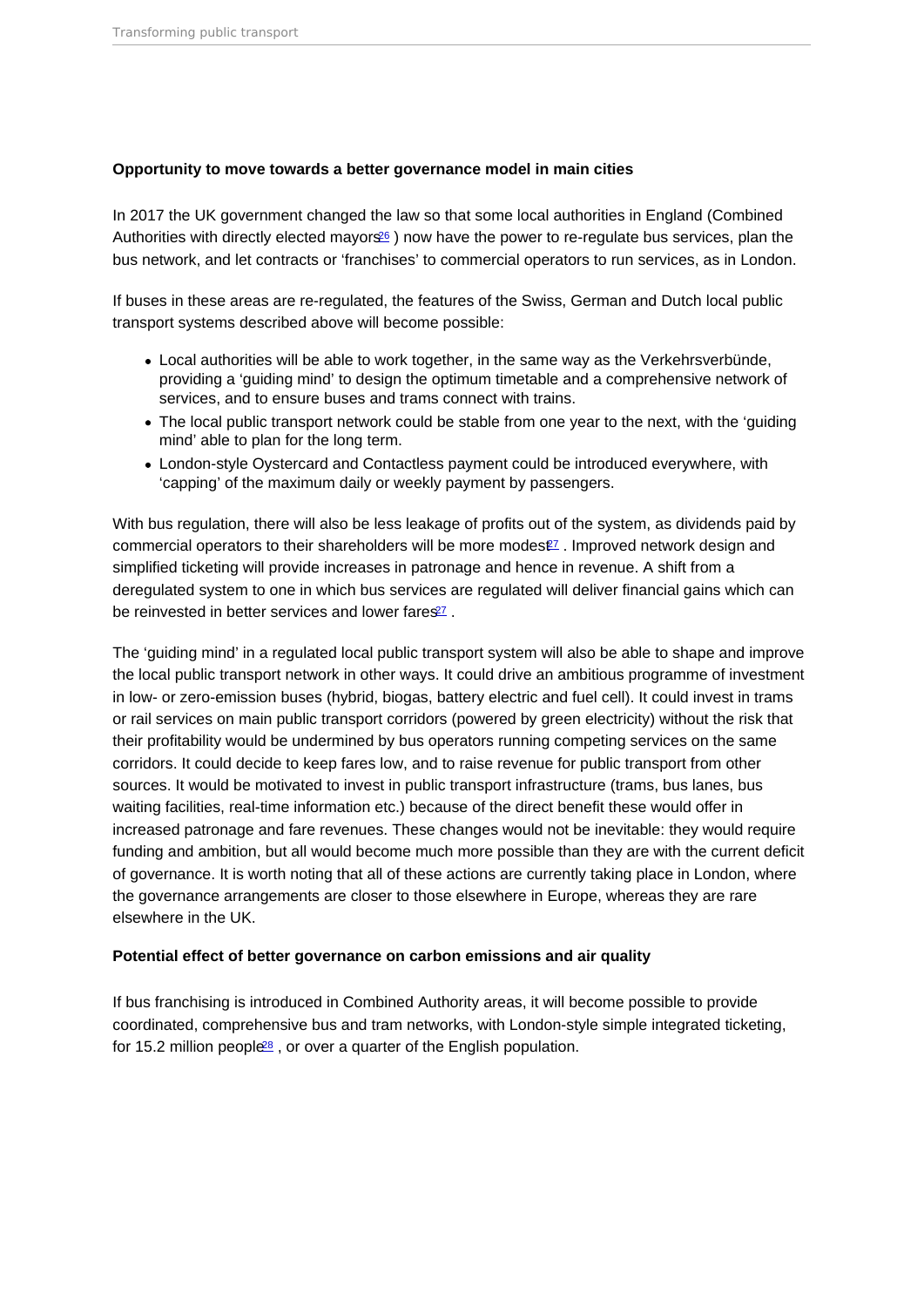<span id="page-6-0"></span>Opportunity to move towards a better governance model in main cities

In 2017 the UK government changed the law so that some local authorities in England (Combined Authorities with directly elected mayors<sup>[26](#page-15-0)</sup>) now have the power to re-regulate bus services, plan the bus network, and let contracts or 'franchises' to commercial operators to run services, as in London.

If buses in these areas are re-regulated, the features of the Swiss, German and Dutch local public transport systems described above will become possible:

- Local authorities will be able to work together, in the same way as the Verkehrsverbünde, providing a 'guiding mind' to design the optimum timetable and a comprehensive network of services, and to ensure buses and trams connect with trains.
- The local public transport network could be stable from one year to the next, with the 'guiding mind' able to plan for the long term.
- London-style Oystercard and Contactless payment could be introduced everywhere, with 'capping' of the maximum daily or weekly payment by passengers.

With bus regulation, there will also be less leakage of profits out of the system, as dividends paid by commercial operators to their shareholders will be more modes $\mathbb{Z}$ . Improved network design and simplified ticketing will provide increases in patronage and hence in revenue. A shift from a deregulated system to one in which bus services are regulated will deliver financial gains which can be reinvested in better services and lower fares<sup>[27](#page-15-0)</sup>.

The 'guiding mind' in a regulated local public transport system will also be able to shape and improve the local public transport network in other ways. It could drive an ambitious programme of investment in low- or zero-emission buses (hybrid, biogas, battery electric and fuel cell). It could invest in trams or rail services on main public transport corridors (powered by green electricity) without the risk that their profitability would be undermined by bus operators running competing services on the same corridors. It could decide to keep fares low, and to raise revenue for public transport from other sources. It would be motivated to invest in public transport infrastructure (trams, bus lanes, bus waiting facilities, real-time information etc.) because of the direct benefit these would offer in increased patronage and fare revenues. These changes would not be inevitable: they would require funding and ambition, but all would become much more possible than they are with the current deficit of governance. It is worth noting that all of these actions are currently taking place in London, where the governance arrangements are closer to those elsewhere in Europe, whereas they are rare elsewhere in the UK.

Potential effect of better governance on carbon emissions and air quality

If bus franchising is introduced in Combined Authority areas, it will become possible to provide coordinated, comprehensive bus and tram networks, with London-style simple integrated ticketing, for 15.2 million people<sup>[28](#page-15-0)</sup>, or over a quarter of the English population.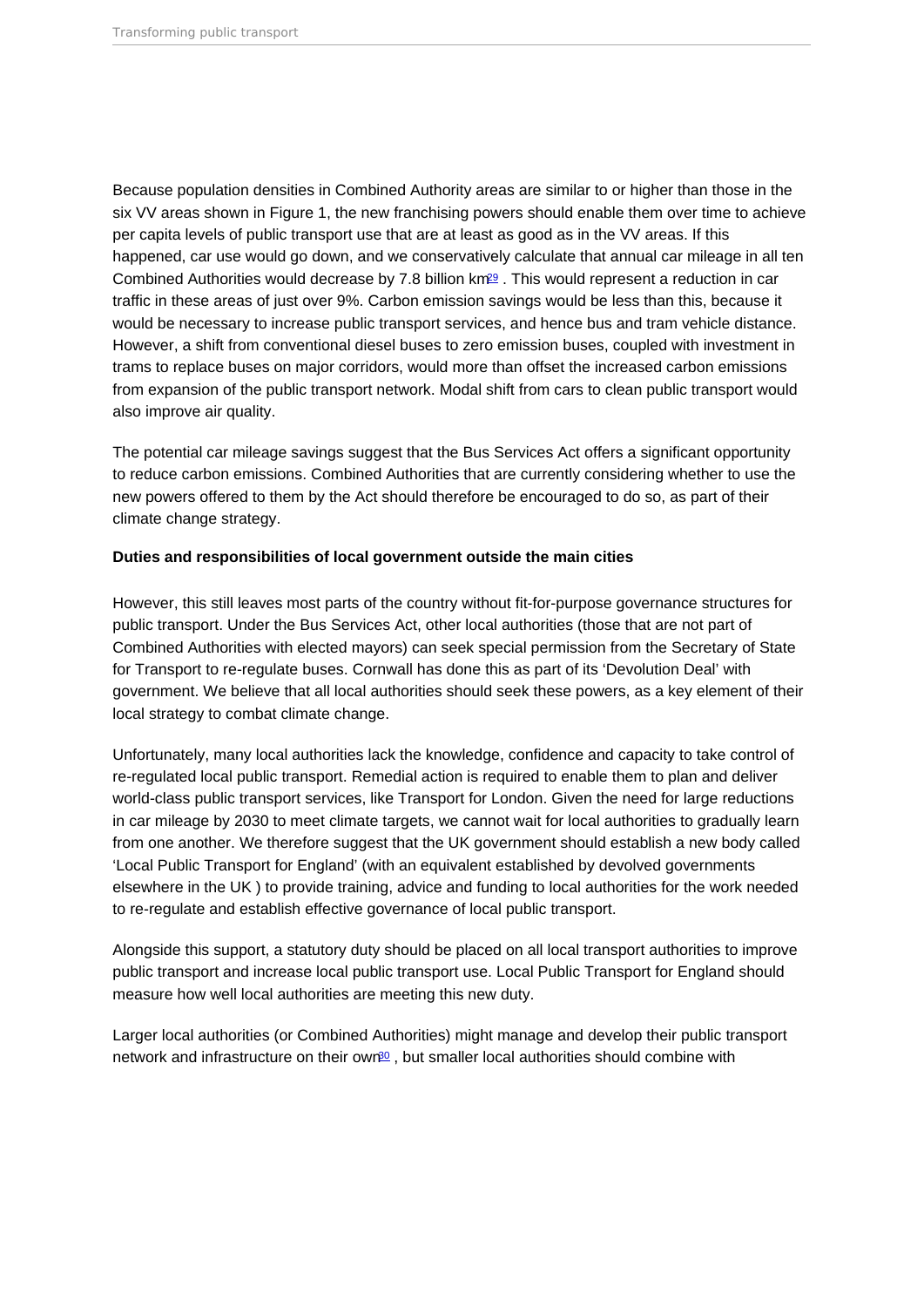<span id="page-7-0"></span>Because population densities in Combined Authority areas are similar to or higher than those in the six VV areas shown in Figure 1, the new franchising powers should enable them over time to achieve per capita levels of public transport use that are at least as good as in the VV areas. If this happened, car use would go down, and we conservatively calculate that annual car mileage in all ten Combined Authorities would decrease by 7.8 billion km[29](#page-15-0) . This would represent a reduction in car traffic in these areas of just over 9%. Carbon emission savings would be less than this, because it would be necessary to increase public transport services, and hence bus and tram vehicle distance. However, a shift from conventional diesel buses to zero emission buses, coupled with investment in trams to replace buses on major corridors, would more than offset the increased carbon emissions from expansion of the public transport network. Modal shift from cars to clean public transport would also improve air quality.

The potential car mileage savings suggest that the Bus Services Act offers a significant opportunity to reduce carbon emissions. Combined Authorities that are currently considering whether to use the new powers offered to them by the Act should therefore be encouraged to do so, as part of their climate change strategy.

Duties and responsibilities of local government outside the main cities

However, this still leaves most parts of the country without fit-for-purpose governance structures for public transport. Under the Bus Services Act, other local authorities (those that are not part of Combined Authorities with elected mayors) can seek special permission from the Secretary of State for Transport to re-regulate buses. Cornwall has done this as part of its 'Devolution Deal' with government. We believe that all local authorities should seek these powers, as a key element of their local strategy to combat climate change.

Unfortunately, many local authorities lack the knowledge, confidence and capacity to take control of re-regulated local public transport. Remedial action is required to enable them to plan and deliver world-class public transport services, like Transport for London. Given the need for large reductions in car mileage by 2030 to meet climate targets, we cannot wait for local authorities to gradually learn from one another. We therefore suggest that the UK government should establish a new body called 'Local Public Transport for England' (with an equivalent established by devolved governments elsewhere in the UK ) to provide training, advice and funding to local authorities for the work needed to re-regulate and establish effective governance of local public transport.

Alongside this support, a statutory duty should be placed on all local transport authorities to improve public transport and increase local public transport use. Local Public Transport for England should measure how well local authorities are meeting this new duty.

Larger local authorities (or Combined Authorities) might manage and develop their public transport network and infrastructure on their own<sup>[30](#page-15-0)</sup>, but smaller local authorities should combine with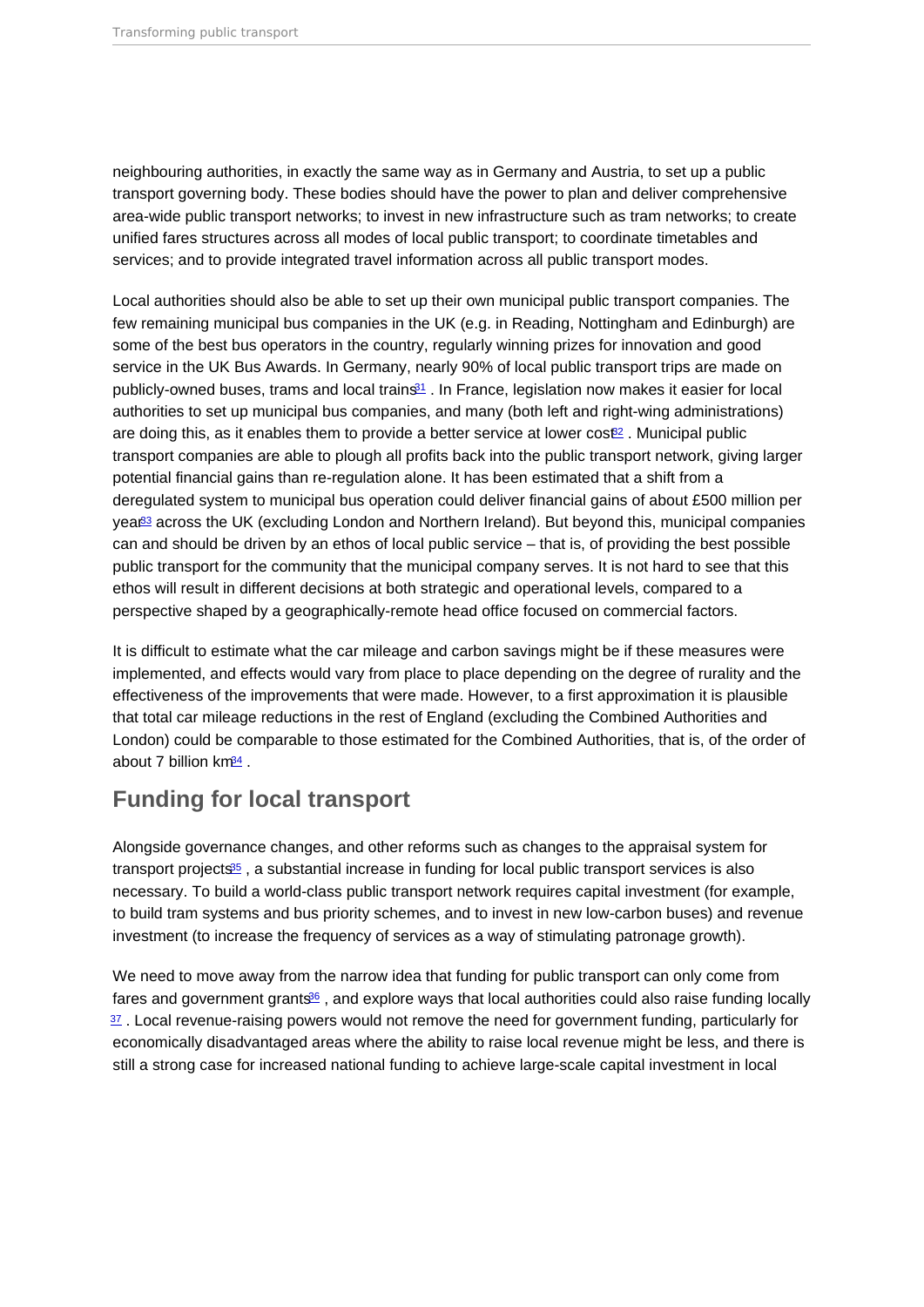<span id="page-8-0"></span>neighbouring authorities, in exactly the same way as in Germany and Austria, to set up a public transport governing body. These bodies should have the power to plan and deliver comprehensive area-wide public transport networks; to invest in new infrastructure such as tram networks; to create unified fares structures across all modes of local public transport; to coordinate timetables and services; and to provide integrated travel information across all public transport modes.

Local authorities should also be able to set up their own municipal public transport companies. The few remaining municipal bus companies in the UK (e.g. in Reading, Nottingham and Edinburgh) are some of the best bus operators in the country, regularly winning prizes for innovation and good service in the UK Bus Awards. In Germany, nearly 90% of local public transport trips are made on publicly-owned buses, trams and local trains<sup>[31](#page-15-0)</sup>. In France, legislation now makes it easier for local authorities to set up municipal bus companies, and many (both left and right-wing administrations) are doing this, as it enables them to provide a better service at lower  $\cos \theta^2$ . Municipal public transport companies are able to plough all profits back into the public transport network, giving larger potential financial gains than re-regulation alone. It has been estimated that a shift from a deregulated system to municipal bus operation could deliver financial gains of about £500 million per year[33](#page-15-0) across the UK (excluding London and Northern Ireland). But beyond this, municipal companies can and should be driven by an ethos of local public service – that is, of providing the best possible public transport for the community that the municipal company serves. It is not hard to see that this ethos will result in different decisions at both strategic and operational levels, compared to a perspective shaped by a geographically-remote head office focused on commercial factors.

It is difficult to estimate what the car mileage and carbon savings might be if these measures were implemented, and effects would vary from place to place depending on the degree of rurality and the effectiveness of the improvements that were made. However, to a first approximation it is plausible that total car mileage reductions in the rest of England (excluding the Combined Authorities and London) could be comparable to those estimated for the Combined Authorities, that is, of the order of about 7 billion  $km<sup>34</sup>$ .

## Funding for local transport

Alongside governance changes, and other reforms such as changes to the appraisal system for transport projects $\mathfrak{S}_5$ , a substantial increase in funding for local public transport services is also necessary. To build a world-class public transport network requires capital investment (for example, to build tram systems and bus priority schemes, and to invest in new low-carbon buses) and revenue investment (to increase the frequency of services as a way of stimulating patronage growth).

We need to move away from the narrow idea that funding for public transport can only come from fares and government grants $\mathfrak{B}_6$ , and explore ways that local authorities could also raise funding locally  $37$ . Local revenue-raising powers would not remove the need for government funding, particularly for economically disadvantaged areas where the ability to raise local revenue might be less, and there is still a strong case for increased national funding to achieve large-scale capital investment in local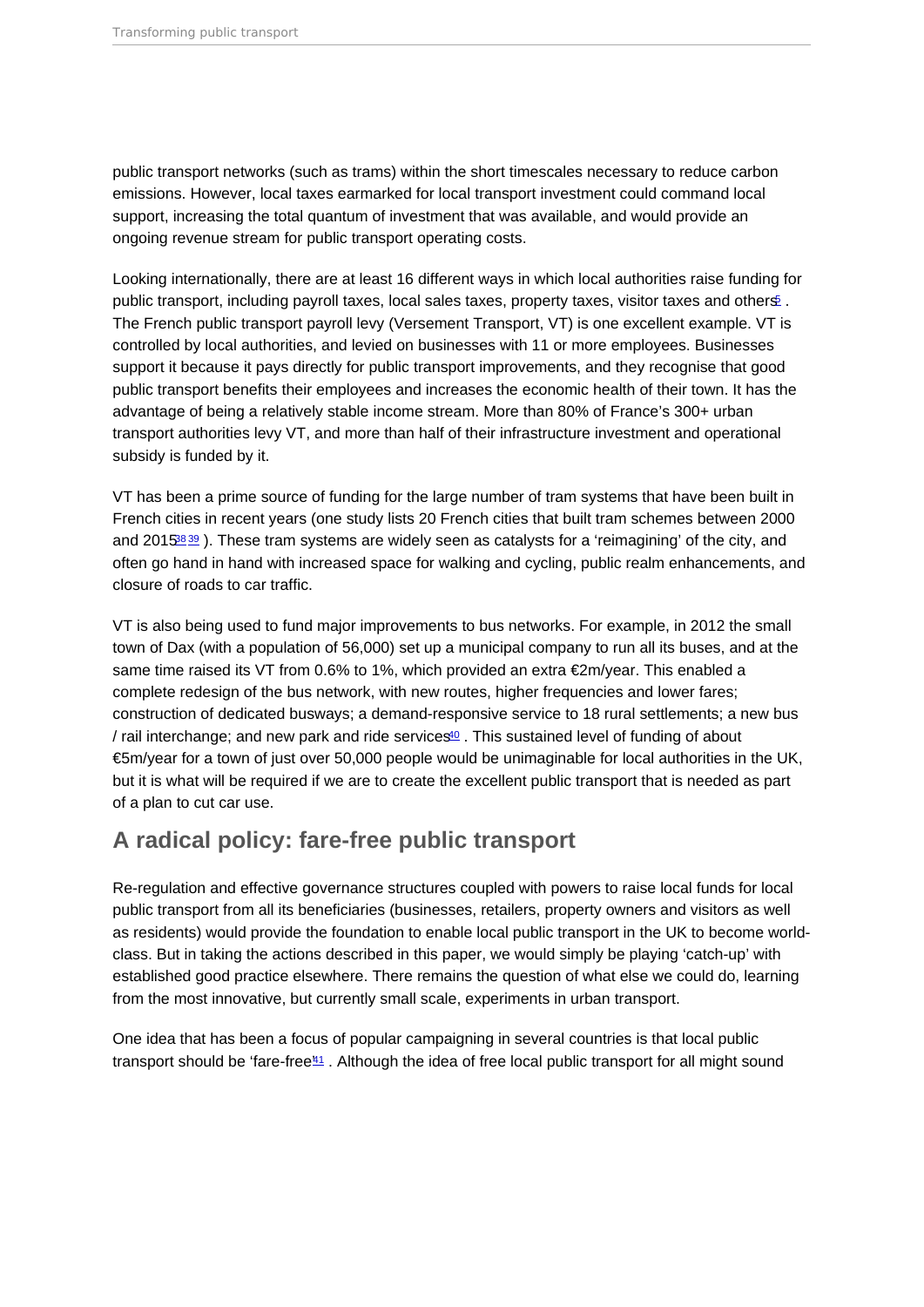<span id="page-9-0"></span>public transport networks (such as trams) within the short timescales necessary to reduce carbon emissions. However, local taxes earmarked for local transport investment could command local support, increasing the total quantum of investment that was available, and would provide an ongoing revenue stream for public transport operating costs.

Looking internationally, there are at least 16 different ways in which local authorities raise funding for public transport, including payroll taxes, local sales taxes, property taxes, visitor taxes and others<sup>[5](#page-13-0)</sup>. The French public transport payroll levy (Versement Transport, VT) is one excellent example. VT is controlled by local authorities, and levied on businesses with 11 or more employees. Businesses support it because it pays directly for public transport improvements, and they recognise that good public transport benefits their employees and increases the economic health of their town. It has the advantage of being a relatively stable income stream. More than 80% of France's 300+ urban transport authorities levy VT, and more than half of their infrastructure investment and operational subsidy is funded by it.

VT has been a prime source of funding for the large number of tram systems that have been built in French cities in recent years (one study lists 20 French cities that built tram schemes between 2000 and 2015<sup>8[39](#page-16-0)</sup>). These tram systems are widely seen as catalysts for a 'reimagining' of the city, and often go hand in hand with increased space for walking and cycling, public realm enhancements, and closure of roads to car traffic.

VT is also being used to fund major improvements to bus networks. For example, in 2012 the small town of Dax (with a population of 56,000) set up a municipal company to run all its buses, and at the same time raised its VT from 0.6% to 1%, which provided an extra €2m/year. This enabled a complete redesign of the bus network, with new routes, higher frequencies and lower fares; construction of dedicated busways; a demand-responsive service to 18 rural settlements; a new bus / rail interchange; and new park and ride services $40$ . This sustained level of funding of about €5m/year for a town of just over 50,000 people would be unimaginable for local authorities in the UK, but it is what will be required if we are to create the excellent public transport that is needed as part of a plan to cut car use.

#### A radical policy: fare-free public transport

Re-regulation and effective governance structures coupled with powers to raise local funds for local public transport from all its beneficiaries (businesses, retailers, property owners and visitors as well as residents) would provide the foundation to enable local public transport in the UK to become worldclass. But in taking the actions described in this paper, we would simply be playing 'catch-up' with established good practice elsewhere. There remains the question of what else we could do, learning from the most innovative, but currently small scale, experiments in urban transport.

One idea that has been a focus of popular campaigning in several countries is that local public transport should be 'fare-free<sup>"[41](#page-16-0)</sup>. Although the idea of free local public transport for all might sound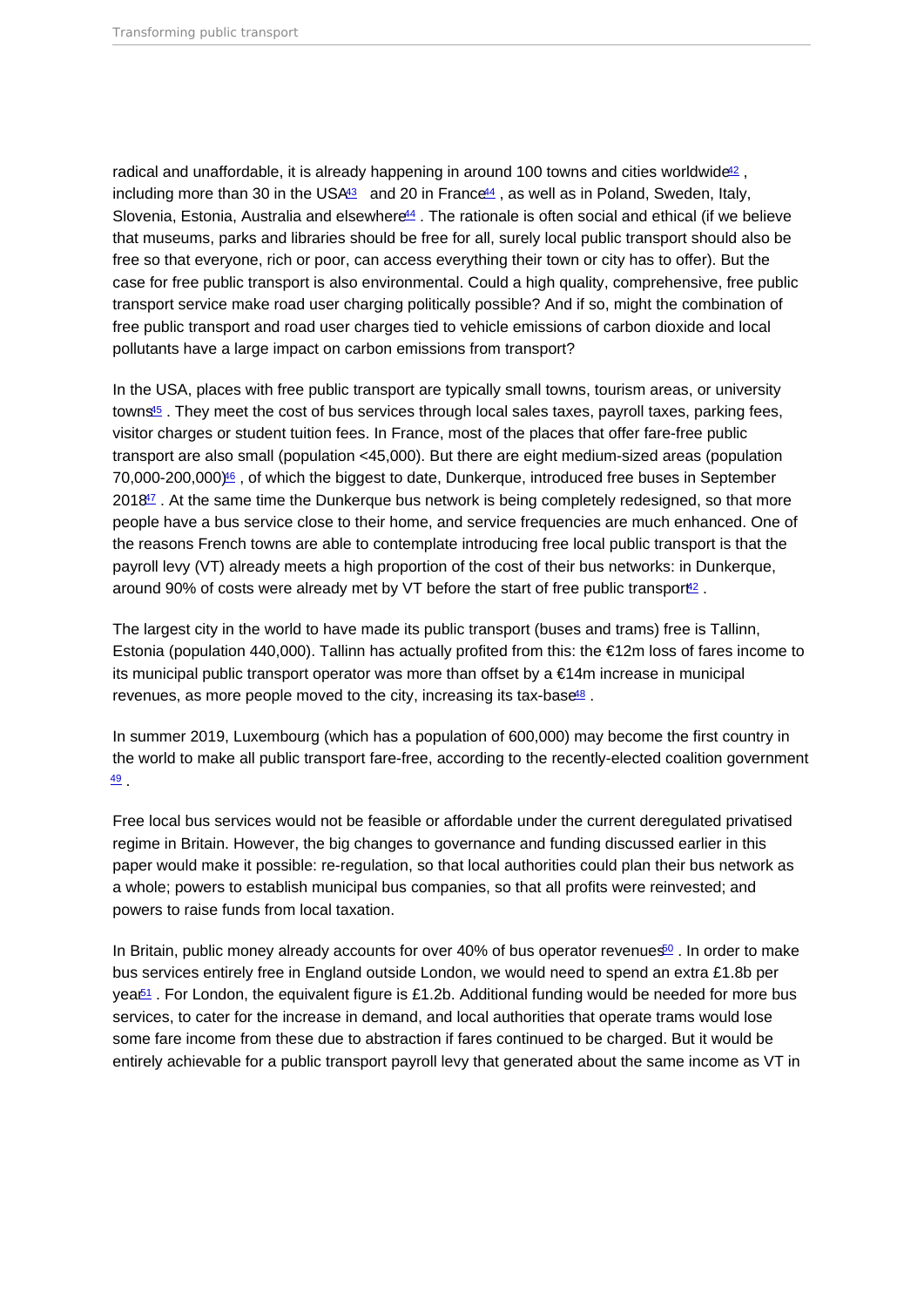<span id="page-10-0"></span>radical and unaffordable, it is already happening in around 100 towns and cities worldwide<sup>[42](#page-16-0)</sup>, including more than 30 in the US $A<sup>43</sup>$  $A<sup>43</sup>$  $A<sup>43</sup>$  and 20 in France<sup> $44$ </sup>, as well as in Poland, Sweden, Italy, Slovenia, Estonia, Australia and elsewhere<sup>[44](#page-16-0)</sup>. The rationale is often social and ethical (if we believe that museums, parks and libraries should be free for all, surely local public transport should also be free so that everyone, rich or poor, can access everything their town or city has to offer). But the case for free public transport is also environmental. Could a high quality, comprehensive, free public transport service make road user charging politically possible? And if so, might the combination of free public transport and road user charges tied to vehicle emissions of carbon dioxide and local pollutants have a large impact on carbon emissions from transport?

In the USA, places with free public transport are typically small towns, tourism areas, or university towns<sup>[45](#page-16-0)</sup>. They meet the cost of bus services through local sales taxes, payroll taxes, parking fees, visitor charges or student tuition fees. In France, most of the places that offer fare-free public transport are also small (population <45,000). But there are eight medium-sized areas (population 70,000-200,000)[46](#page-16-0) , of which the biggest to date, Dunkerque, introduced free buses in September 2018<sup>17</sup>. At the same time the Dunkerque bus network is being completely redesigned, so that more people have a bus service close to their home, and service frequencies are much enhanced. One of the reasons French towns are able to contemplate introducing free local public transport is that the payroll levy (VT) already meets a high proportion of the cost of their bus networks: in Dunkerque, around 90% of costs were already met by VT before the start of free public transport<sup>[42](#page-16-0)</sup>.

The largest city in the world to have made its public transport (buses and trams) free is Tallinn, Estonia (population 440,000). Tallinn has actually profited from this: the €12m loss of fares income to its municipal public transport operator was more than offset by a €14m increase in municipal revenues, as more people moved to the city, increasing its tax-base<sup>[48](#page-16-0)</sup>.

In summer 2019, Luxembourg (which has a population of 600,000) may become the first country in the world to make all public transport fare-free, according to the recently-elected coalition government [49](#page-17-0) .

Free local bus services would not be feasible or affordable under the current deregulated privatised regime in Britain. However, the big changes to governance and funding discussed earlier in this paper would make it possible: re-regulation, so that local authorities could plan their bus network as a whole; powers to establish municipal bus companies, so that all profits were reinvested; and powers to raise funds from local taxation.

In Britain, public money already accounts for over 40% of bus operator revenues<sup>[50](#page-17-0)</sup>. In order to make bus services entirely free in England outside London, we would need to spend an extra £1.8b per yea<sup> $61$ </sup>. For London, the equivalent figure is £1.2b. Additional funding would be needed for more bus services, to cater for the increase in demand, and local authorities that operate trams would lose some fare income from these due to abstraction if fares continued to be charged. But it would be entirely achievable for a public transport payroll levy that generated about the same income as VT in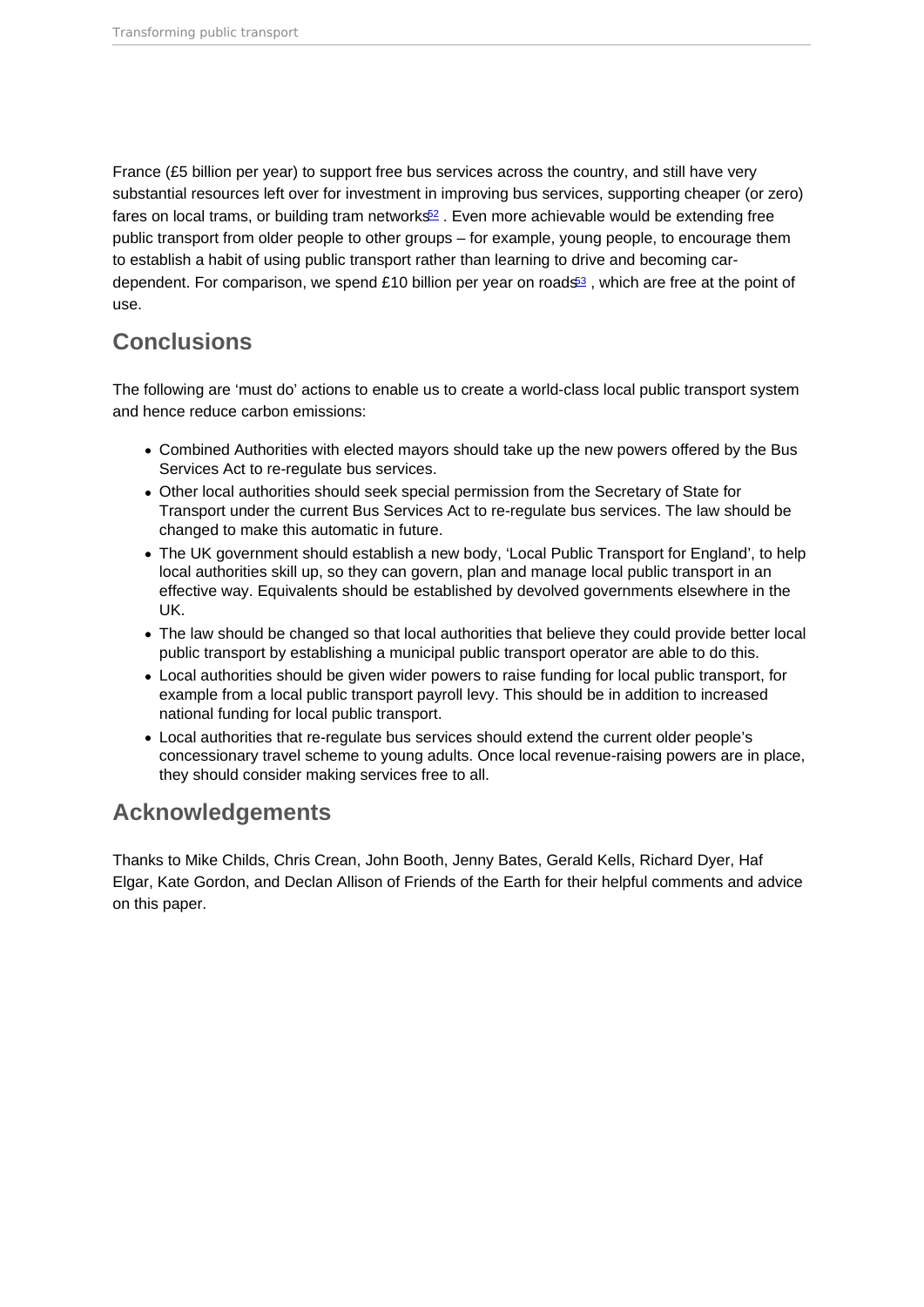<span id="page-11-0"></span>France (£5 billion per year) to support free bus services across the country, and still have very substantial resources left over for investment in improving bus services, supporting cheaper (or zero) fares on local trams, or building tram networks $\frac{2}{5}$ . Even more achievable would be extending free public transport from older people to other groups – for example, young people, to encourage them to establish a habit of using public transport rather than learning to drive and becoming car-dependent. For comparison, we spend £10 billion per year on roads<sup>[53](#page-17-0)</sup>, which are free at the point of use.

### **Conclusions**

The following are 'must do' actions to enable us to create a world-class local public transport system and hence reduce carbon emissions:

- Combined Authorities with elected mayors should take up the new powers offered by the Bus Services Act to re-regulate bus services.
- Other local authorities should seek special permission from the Secretary of State for Transport under the current Bus Services Act to re-regulate bus services. The law should be changed to make this automatic in future.
- The UK government should establish a new body, 'Local Public Transport for England', to help local authorities skill up, so they can govern, plan and manage local public transport in an effective way. Equivalents should be established by devolved governments elsewhere in the UK.
- The law should be changed so that local authorities that believe they could provide better local public transport by establishing a municipal public transport operator are able to do this.
- Local authorities should be given wider powers to raise funding for local public transport, for example from a local public transport payroll levy. This should be in addition to increased national funding for local public transport.
- Local authorities that re-regulate bus services should extend the current older people's concessionary travel scheme to young adults. Once local revenue-raising powers are in place, they should consider making services free to all.

#### Acknowledgements

Thanks to Mike Childs, Chris Crean, John Booth, Jenny Bates, Gerald Kells, Richard Dyer, Haf Elgar, Kate Gordon, and Declan Allison of Friends of the Earth for their helpful comments and advice on this paper.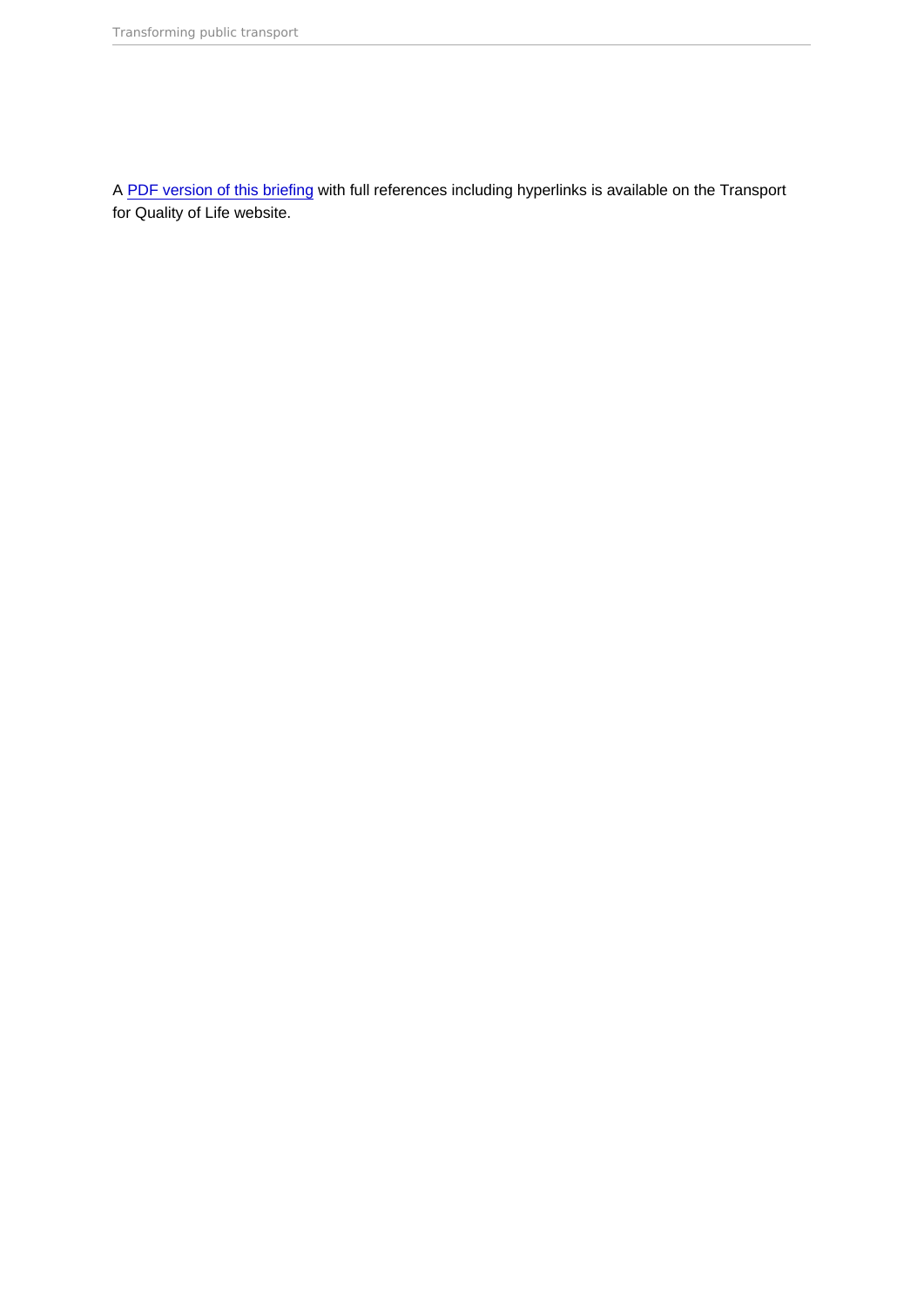A [PDF version of this briefing](https://www.transportforqualityoflife.com/u/files/2 Transforming public transport briefing.pdf) with full references including hyperlinks is available on the Transport for Quality of Life website.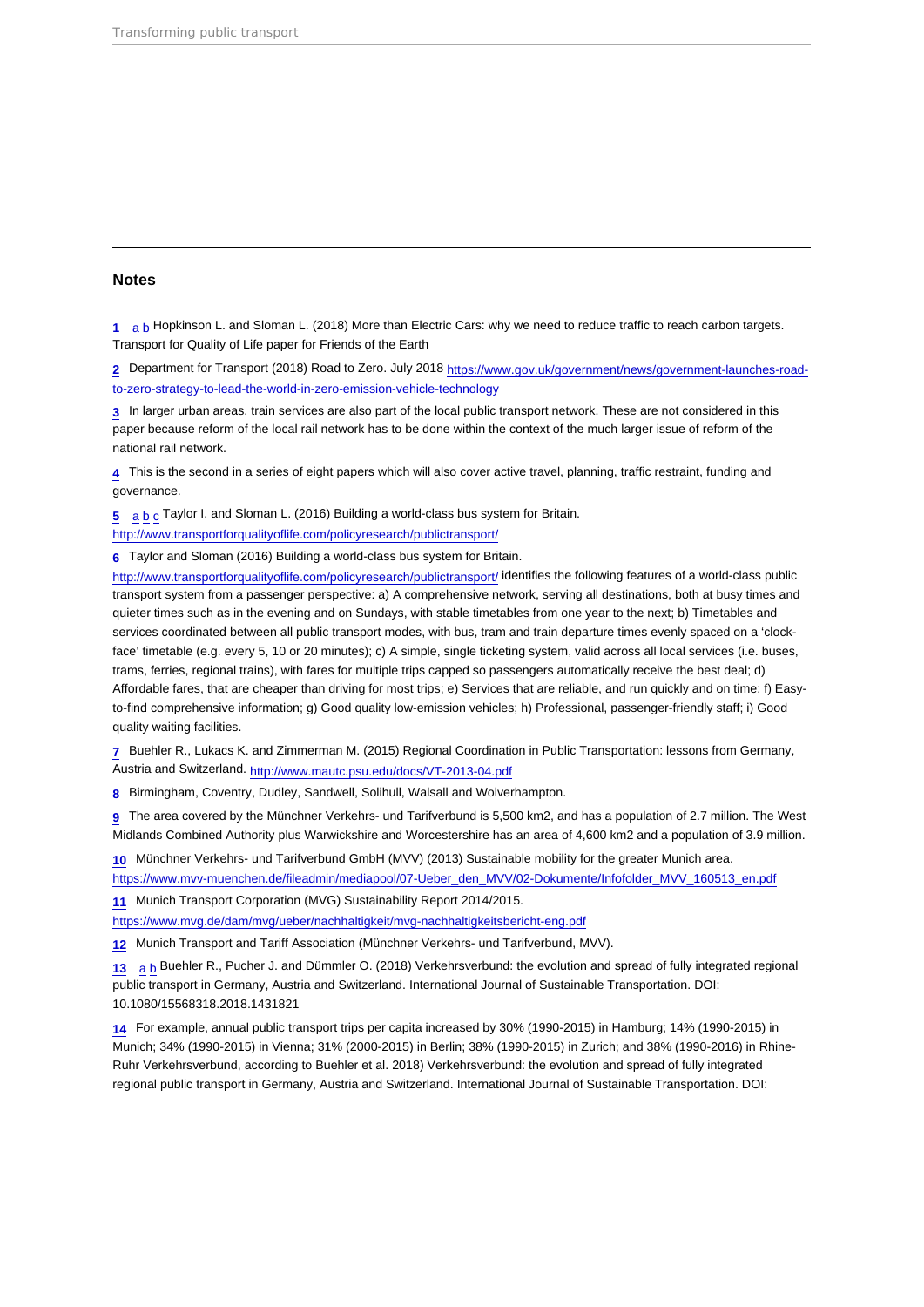#### <span id="page-13-0"></span>Notes

[1](#page-2-0) [a](#page-2-0) [b](#page-2-0) Hopkinson L. and Sloman L. (2018) More than Electric Cars: why we need to reduce traffic to reach carbon targets. Transport for Quality of Life paper for Friends of the Earth

[2](#page-2-0) Department for Transport (2018) Road to Zero. July 2018 [https://www.gov.uk/government/news/government-launches-road](https://www.gov.uk/government/news/government-launches-road-to-zero-strategy-to-lead-the-world-in-zero-emission-vehicle-technology)[to-zero-strategy-to-lead-the-world-in-zero-emission-vehicle-technology](https://www.gov.uk/government/news/government-launches-road-to-zero-strategy-to-lead-the-world-in-zero-emission-vehicle-technology)

[3](#page-2-0) In larger urban areas, train services are also part of the local public transport network. These are not considered in this paper because reform of the local rail network has to be done within the context of the much larger issue of reform of the national rail network.

[4](#page-2-0) This is the second in a series of eight papers which will also cover active travel, planning, traffic restraint, funding and governance.

[5](#page-2-0) [a](#page-2-0) [b](#page-5-0) [c](#page-9-0) Taylor I. and Sloman L. (2016) Building a world-class bus system for Britain.

<http://www.transportforqualityoflife.com/policyresearch/publictransport/>

[6](#page-2-0) Taylor and Sloman (2016) Building a world-class bus system for Britain.

<http://www.transportforqualityoflife.com/policyresearch/publictransport/> identifies the following features of a world-class public transport system from a passenger perspective: a) A comprehensive network, serving all destinations, both at busy times and quieter times such as in the evening and on Sundays, with stable timetables from one year to the next; b) Timetables and services coordinated between all public transport modes, with bus, tram and train departure times evenly spaced on a 'clockface' timetable (e.g. every 5, 10 or 20 minutes); c) A simple, single ticketing system, valid across all local services (i.e. buses, trams, ferries, regional trains), with fares for multiple trips capped so passengers automatically receive the best deal; d) Affordable fares, that are cheaper than driving for most trips; e) Services that are reliable, and run quickly and on time; f) Easyto-find comprehensive information; g) Good quality low-emission vehicles; h) Professional, passenger-friendly staff; i) Good quality waiting facilities.

[7](#page-3-0) Buehler R., Lukacs K. and Zimmerman M. (2015) Regional Coordination in Public Transportation: lessons from Germany, Austria and Switzerland.<http://www.mautc.psu.edu/docs/VT-2013-04.pdf>

[8](#page-3-0) Birmingham, Coventry, Dudley, Sandwell, Solihull, Walsall and Wolverhampton.

[9](#page-3-0) The area covered by the Münchner Verkehrs- und Tarifverbund is 5,500 km2, and has a population of 2.7 million. The West Midlands Combined Authority plus Warwickshire and Worcestershire has an area of 4,600 km2 and a population of 3.9 million.

[10](#page-3-0) Münchner Verkehrs- und Tarifverbund GmbH (MVV) (2013) Sustainable mobility for the greater Munich area.

[https://www.mvv-muenchen.de/fileadmin/mediapool/07-Ueber\\_den\\_MVV/02-Dokumente/Infofolder\\_MVV\\_160513\\_en.pdf](https://www.mvv-muenchen.de/fileadmin/mediapool/07-Ueber_den_MVV/02-Dokumente/Infofolder_MVV_160513_en.pdf)

[11](#page-3-0) Munich Transport Corporation (MVG) Sustainability Report 2014/2015.

<https://www.mvg.de/dam/mvg/ueber/nachhaltigkeit/mvg-nachhaltigkeitsbericht-eng.pdf>

[12](#page-3-0) Munich Transport and Tariff Association (Münchner Verkehrs- und Tarifverbund, MVV).

[13](#page-3-0) [a](#page-3-0) [b](#page-3-0) Buehler R., Pucher J. and Dümmler O. (2018) Verkehrsverbund: the evolution and spread of fully integrated regional public transport in Germany, Austria and Switzerland. International Journal of Sustainable Transportation. DOI: 10.1080/15568318.2018.1431821

[14](#page-3-0) For example, annual public transport trips per capita increased by 30% (1990-2015) in Hamburg; 14% (1990-2015) in Munich; 34% (1990-2015) in Vienna; 31% (2000-2015) in Berlin; 38% (1990-2015) in Zurich; and 38% (1990-2016) in Rhine-Ruhr Verkehrsverbund, according to Buehler et al. 2018) Verkehrsverbund: the evolution and spread of fully integrated regional public transport in Germany, Austria and Switzerland. International Journal of Sustainable Transportation. DOI: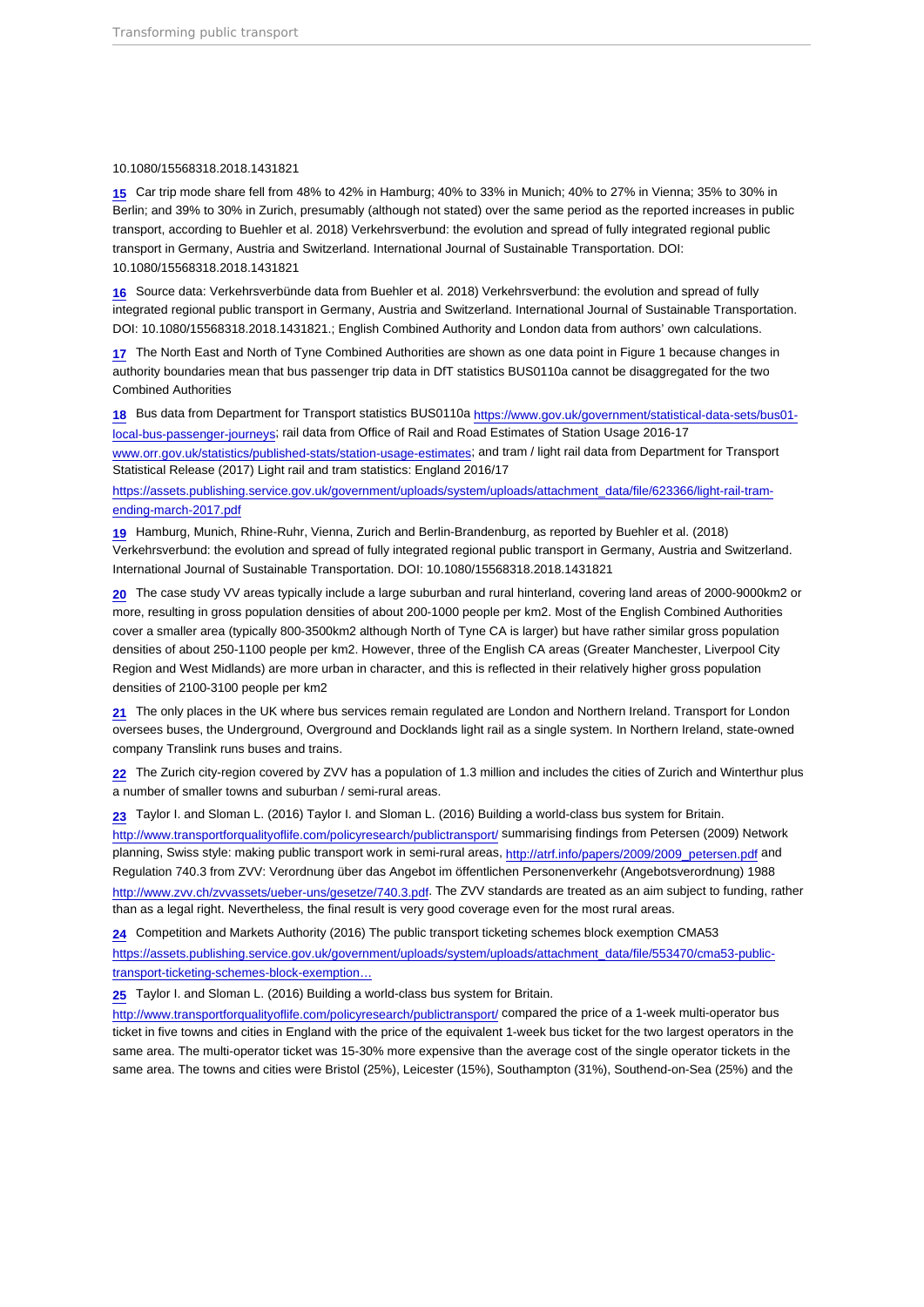#### <span id="page-14-0"></span>10.1080/15568318.2018.1431821

[15](#page-3-0) Car trip mode share fell from 48% to 42% in Hamburg; 40% to 33% in Munich; 40% to 27% in Vienna; 35% to 30% in Berlin; and 39% to 30% in Zurich, presumably (although not stated) over the same period as the reported increases in public transport, according to Buehler et al. 2018) Verkehrsverbund: the evolution and spread of fully integrated regional public transport in Germany, Austria and Switzerland. International Journal of Sustainable Transportation. DOI: 10.1080/15568318.2018.1431821

[16](#page-3-0) Source data: Verkehrsverbünde data from Buehler et al. 2018) Verkehrsverbund: the evolution and spread of fully integrated regional public transport in Germany, Austria and Switzerland. International Journal of Sustainable Transportation. DOI: 10.1080/15568318.2018.1431821.; English Combined Authority and London data from authors' own calculations.

[17](#page-4-0) The North East and North of Tyne Combined Authorities are shown as one data point in Figure 1 because changes in authority boundaries mean that bus passenger trip data in DfT statistics BUS0110a cannot be disaggregated for the two Combined Authorities

[18](#page-4-0) Bus data from Department for Transport statistics BUS0110a [https://www.gov.uk/government/statistical-data-sets/bus01](https://www.gov.uk/government/statistical-data-sets/bus01-local-bus-passenger-journeys) [local-bus-passenger-journeys;](https://www.gov.uk/government/statistical-data-sets/bus01-local-bus-passenger-journeys) rail data from Office of Rail and Road Estimates of Station Usage 2016-17 [www.orr.gov.uk/statistics/published-stats/station-usage-estimates;](http://www.orr.gov.uk/statistics/published-stats/station-usage-estimates) and tram / light rail data from Department for Transport Statistical Release (2017) Light rail and tram statistics: England 2016/17

[https://assets.publishing.service.gov.uk/government/uploads/system/uploads/attachment\\_data/file/623366/light-rail-tram](https://assets.publishing.service.gov.uk/government/uploads/system/uploads/attachment_data/file/623366/light-rail-tram-ending-march-2017.pdf)[ending-march-2017.pdf](https://assets.publishing.service.gov.uk/government/uploads/system/uploads/attachment_data/file/623366/light-rail-tram-ending-march-2017.pdf)

[19](#page-4-0) Hamburg, Munich, Rhine-Ruhr, Vienna, Zurich and Berlin-Brandenburg, as reported by Buehler et al. (2018) Verkehrsverbund: the evolution and spread of fully integrated regional public transport in Germany, Austria and Switzerland. International Journal of Sustainable Transportation. DOI: 10.1080/15568318.2018.1431821

[20](#page-4-0) The case study VV areas typically include a large suburban and rural hinterland, covering land areas of 2000-9000km2 or more, resulting in gross population densities of about 200-1000 people per km2. Most of the English Combined Authorities cover a smaller area (typically 800-3500km2 although North of Tyne CA is larger) but have rather similar gross population densities of about 250-1100 people per km2. However, three of the English CA areas (Greater Manchester, Liverpool City Region and West Midlands) are more urban in character, and this is reflected in their relatively higher gross population densities of 2100-3100 people per km2

[21](#page-4-0) The only places in the UK where bus services remain regulated are London and Northern Ireland. Transport for London oversees buses, the Underground, Overground and Docklands light rail as a single system. In Northern Ireland, state-owned company Translink runs buses and trains.

[22](#page-5-0) The Zurich city-region covered by ZVV has a population of 1.3 million and includes the cities of Zurich and Winterthur plus a number of smaller towns and suburban / semi-rural areas.

[23](#page-5-0) Taylor I. and Sloman L. (2016) Taylor I. and Sloman L. (2016) Building a world-class bus system for Britain. <http://www.transportforqualityoflife.com/policyresearch/publictransport/> summarising findings from Petersen (2009) Network planning, Swiss style: making public transport work in semi-rural areas, [http://atrf.info/papers/2009/2009\\_petersen.pdf](http://atrf.info/papers/2009/2009_petersen.pdf) and Regulation 740.3 from ZVV: Verordnung über das Angebot im öffentlichen Personenverkehr (Angebotsverordnung) 1988 <http://www.zvv.ch/zvvassets/ueber-uns/gesetze/740.3.pdf>. The ZVV standards are treated as an aim subject to funding, rather than as a legal right. Nevertheless, the final result is very good coverage even for the most rural areas.

[24](#page-5-0) Competition and Markets Authority (2016) The public transport ticketing schemes block exemption CMA53 [https://assets.publishing.service.gov.uk/government/uploads/system/uploads/attachment\\_data/file/553470/cma53-public](https://assets.publishing.service.gov.uk/government/uploads/system/uploads/attachment_data/file/553470/cma53-public-transport-ticketing-schemes-block-exemption-guidance.pdf)[transport-ticketing-schemes-block-exemption…](https://assets.publishing.service.gov.uk/government/uploads/system/uploads/attachment_data/file/553470/cma53-public-transport-ticketing-schemes-block-exemption-guidance.pdf)

[25](#page-5-0) Taylor I. and Sloman L. (2016) Building a world-class bus system for Britain.

<http://www.transportforqualityoflife.com/policyresearch/publictransport/> compared the price of a 1-week multi-operator bus ticket in five towns and cities in England with the price of the equivalent 1-week bus ticket for the two largest operators in the same area. The multi-operator ticket was 15-30% more expensive than the average cost of the single operator tickets in the same area. The towns and cities were Bristol (25%), Leicester (15%), Southampton (31%), Southend-on-Sea (25%) and the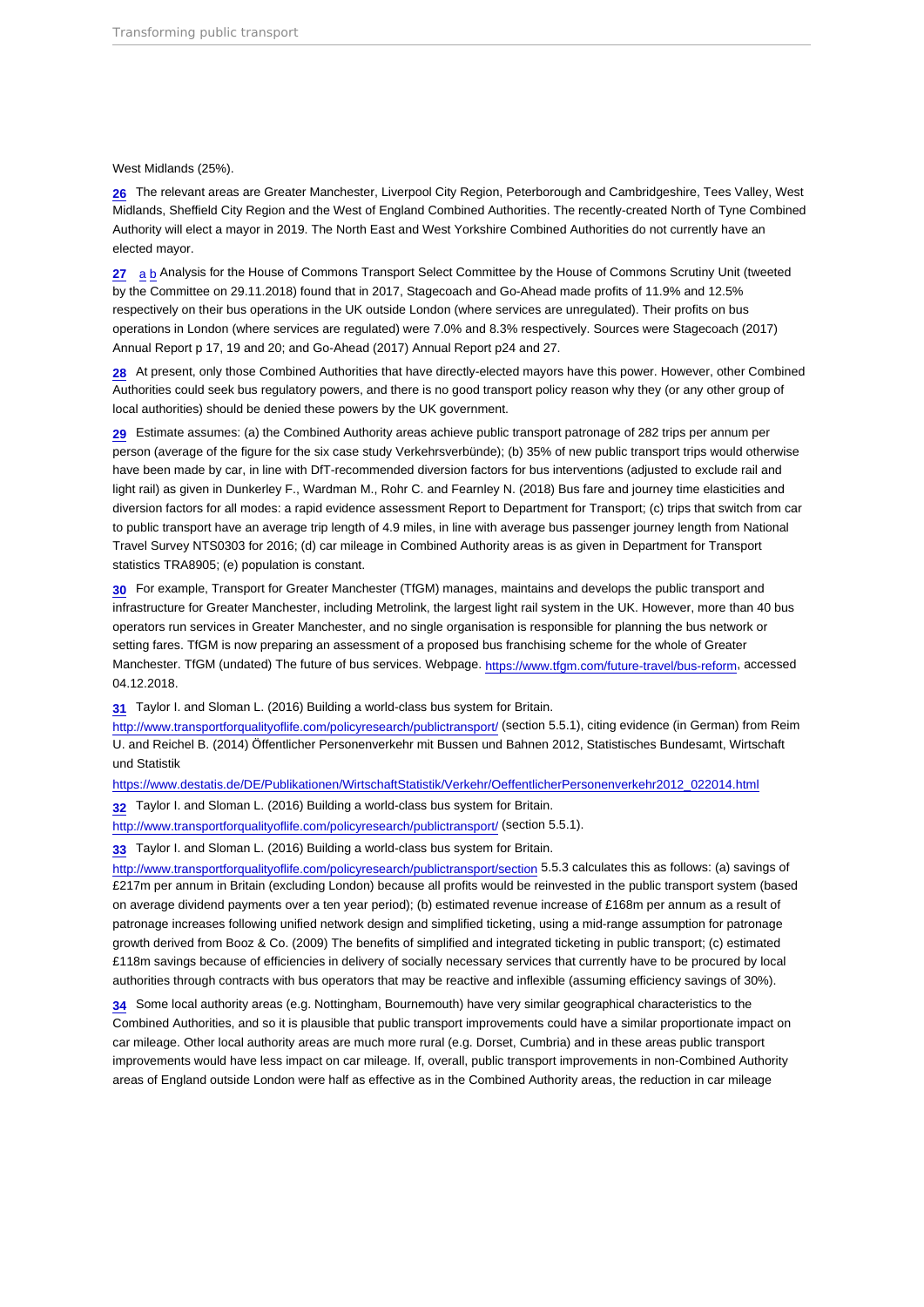#### <span id="page-15-0"></span>West Midlands (25%).

[26](#page-6-0) The relevant areas are Greater Manchester, Liverpool City Region, Peterborough and Cambridgeshire, Tees Valley, West Midlands, Sheffield City Region and the West of England Combined Authorities. The recently-created North of Tyne Combined Authority will elect a mayor in 2019. The North East and West Yorkshire Combined Authorities do not currently have an elected mayor.

[27](#page-6-0) [a](#page-6-0) [b](#page-6-0) Analysis for the House of Commons Transport Select Committee by the House of Commons Scrutiny Unit (tweeted by the Committee on 29.11.2018) found that in 2017, Stagecoach and Go-Ahead made profits of 11.9% and 12.5% respectively on their bus operations in the UK outside London (where services are unregulated). Their profits on bus operations in London (where services are regulated) were 7.0% and 8.3% respectively. Sources were Stagecoach (2017) Annual Report p 17, 19 and 20; and Go-Ahead (2017) Annual Report p24 and 27.

[28](#page-6-0) At present, only those Combined Authorities that have directly-elected mayors have this power. However, other Combined Authorities could seek bus regulatory powers, and there is no good transport policy reason why they (or any other group of local authorities) should be denied these powers by the UK government.

[29](#page-7-0) Estimate assumes: (a) the Combined Authority areas achieve public transport patronage of 282 trips per annum per person (average of the figure for the six case study Verkehrsverbünde); (b) 35% of new public transport trips would otherwise have been made by car, in line with DfT-recommended diversion factors for bus interventions (adjusted to exclude rail and light rail) as given in Dunkerley F., Wardman M., Rohr C. and Fearnley N. (2018) Bus fare and journey time elasticities and diversion factors for all modes: a rapid evidence assessment Report to Department for Transport; (c) trips that switch from car to public transport have an average trip length of 4.9 miles, in line with average bus passenger journey length from National Travel Survey NTS0303 for 2016; (d) car mileage in Combined Authority areas is as given in Department for Transport statistics TRA8905; (e) population is constant.

[30](#page-7-0) For example, Transport for Greater Manchester (TfGM) manages, maintains and develops the public transport and infrastructure for Greater Manchester, including Metrolink, the largest light rail system in the UK. However, more than 40 bus operators run services in Greater Manchester, and no single organisation is responsible for planning the bus network or setting fares. TfGM is now preparing an assessment of a proposed bus franchising scheme for the whole of Greater Manchester. TfGM (undated) The future of bus services. Webpage. <https://www.tfgm.com/future-travel/bus-reform>, accessed 04.12.2018.

[31](#page-8-0) Taylor I. and Sloman L. (2016) Building a world-class bus system for Britain.

<http://www.transportforqualityoflife.com/policyresearch/publictransport/> (section 5.5.1), citing evidence (in German) from Reim U. and Reichel B. (2014) Öffentlicher Personenverkehr mit Bussen und Bahnen 2012, Statistisches Bundesamt, Wirtschaft und Statistik

[https://www.destatis.de/DE/Publikationen/WirtschaftStatistik/Verkehr/OeffentlicherPersonenverkehr2012\\_022014.html](https://www.destatis.de/DE/Publikationen/WirtschaftStatistik/Verkehr/OeffentlicherPersonenverkehr2012_022014.html)

[32](#page-8-0) Taylor I. and Sloman L. (2016) Building a world-class bus system for Britain.

<http://www.transportforqualityoflife.com/policyresearch/publictransport/> (section 5.5.1).

[33](#page-8-0) Taylor I. and Sloman L. (2016) Building a world-class bus system for Britain.

<http://www.transportforqualityoflife.com/policyresearch/publictransport/section>5.5.3 calculates this as follows: (a) savings of £217m per annum in Britain (excluding London) because all profits would be reinvested in the public transport system (based on average dividend payments over a ten year period); (b) estimated revenue increase of £168m per annum as a result of patronage increases following unified network design and simplified ticketing, using a mid-range assumption for patronage growth derived from Booz & Co. (2009) The benefits of simplified and integrated ticketing in public transport; (c) estimated £118m savings because of efficiencies in delivery of socially necessary services that currently have to be procured by local authorities through contracts with bus operators that may be reactive and inflexible (assuming efficiency savings of 30%).

[34](#page-8-0) Some local authority areas (e.g. Nottingham, Bournemouth) have very similar geographical characteristics to the Combined Authorities, and so it is plausible that public transport improvements could have a similar proportionate impact on car mileage. Other local authority areas are much more rural (e.g. Dorset, Cumbria) and in these areas public transport improvements would have less impact on car mileage. If, overall, public transport improvements in non-Combined Authority areas of England outside London were half as effective as in the Combined Authority areas, the reduction in car mileage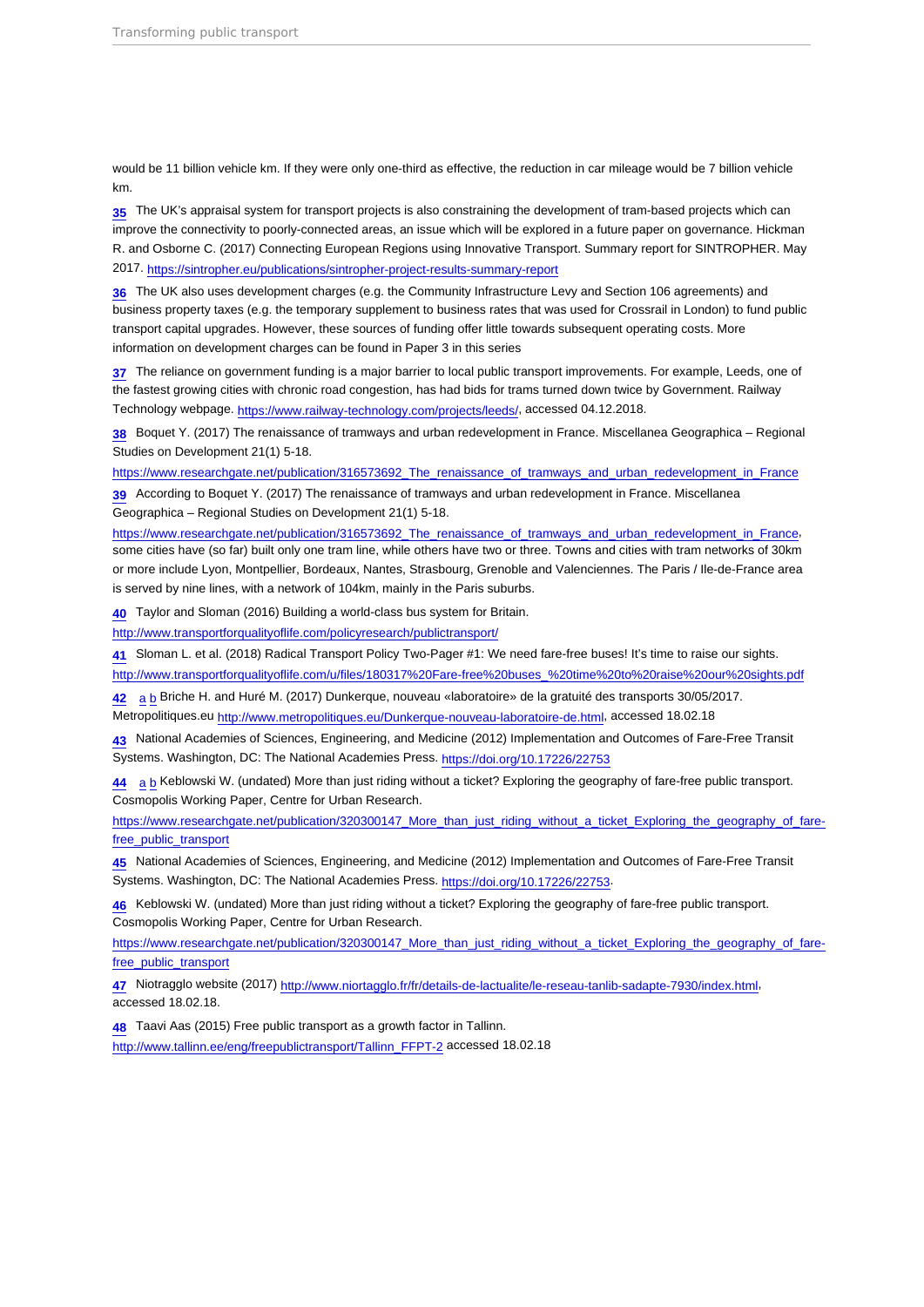<span id="page-16-0"></span>would be 11 billion vehicle km. If they were only one-third as effective, the reduction in car mileage would be 7 billion vehicle km.

[35](#page-8-0) The UK's appraisal system for transport projects is also constraining the development of tram-based projects which can improve the connectivity to poorly-connected areas, an issue which will be explored in a future paper on governance. Hickman R. and Osborne C. (2017) Connecting European Regions using Innovative Transport. Summary report for SINTROPHER. May 2017. <https://sintropher.eu/publications/sintropher-project-results-summary-report>

[36](#page-8-0) The UK also uses development charges (e.g. the Community Infrastructure Levy and Section 106 agreements) and business property taxes (e.g. the temporary supplement to business rates that was used for Crossrail in London) to fund public transport capital upgrades. However, these sources of funding offer little towards subsequent operating costs. More information on development charges can be found in Paper 3 in this series

[37](#page-8-0) The reliance on government funding is a major barrier to local public transport improvements. For example, Leeds, one of the fastest growing cities with chronic road congestion, has had bids for trams turned down twice by Government. Railway Technology webpage.<https://www.railway-technology.com/projects/leeds/>, accessed 04.12.2018.

[38](#page-9-0) Boquet Y. (2017) The renaissance of tramways and urban redevelopment in France. Miscellanea Geographica – Regional Studies on Development 21(1) 5-18.

[https://www.researchgate.net/publication/316573692\\_The\\_renaissance\\_of\\_tramways\\_and\\_urban\\_redevelopment\\_in\\_France](https://www.researchgate.net/publication/316573692_The_renaissance_of_tramways_and_urban_redevelopment_in_France)

[39](#page-9-0) According to Boquet Y. (2017) The renaissance of tramways and urban redevelopment in France. Miscellanea Geographica – Regional Studies on Development 21(1) 5-18.

[https://www.researchgate.net/publication/316573692\\_The\\_renaissance\\_of\\_tramways\\_and\\_urban\\_redevelopment\\_in\\_France,](https://www.researchgate.net/publication/316573692_The_renaissance_of_tramways_and_urban_redevelopment_in_France) some cities have (so far) built only one tram line, while others have two or three. Towns and cities with tram networks of 30km or more include Lyon, Montpellier, Bordeaux, Nantes, Strasbourg, Grenoble and Valenciennes. The Paris / Ile-de-France area is served by nine lines, with a network of 104km, mainly in the Paris suburbs.

[40](#page-9-0) Taylor and Sloman (2016) Building a world-class bus system for Britain.

<http://www.transportforqualityoflife.com/policyresearch/publictransport/>

[41](#page-9-0) Sloman L. et al. (2018) Radical Transport Policy Two-Pager #1: We need fare-free buses! It's time to raise our sights.

[http://www.transportforqualityoflife.com/u/files/180317%20Fare-free%20buses\\_%20time%20to%20raise%20our%20sights.pdf](http://www.transportforqualityoflife.com/u/files/180317 Fare-free buses_ time to raise our sights.pdf)

[42](#page-10-0) [a](#page-10-0) [b](#page-10-0) Briche H. and Huré M. (2017) Dunkerque, nouveau «laboratoire» de la gratuité des transports 30/05/2017.

Metropolitiques.eu<http://www.metropolitiques.eu/Dunkerque-nouveau-laboratoire-de.html>, accessed 18.02.18

[43](#page-10-0) National Academies of Sciences, Engineering, and Medicine (2012) Implementation and Outcomes of Fare-Free Transit Systems. Washington, DC: The National Academies Press. <https://doi.org/10.17226/22753>

[44](#page-10-0) [a](#page-10-0) [b](#page-10-0) Keblowski W. (undated) More than just riding without a ticket? Exploring the geography of fare-free public transport. Cosmopolis Working Paper, Centre for Urban Research.

[https://www.researchgate.net/publication/320300147\\_More\\_than\\_just\\_riding\\_without\\_a\\_ticket\\_Exploring\\_the\\_geography\\_of\\_fare](https://www.researchgate.net/publication/320300147_More_than_just_riding_without_a_ticket_Exploring_the_geography_of_fare-free_public_transport)[free\\_public\\_transport](https://www.researchgate.net/publication/320300147_More_than_just_riding_without_a_ticket_Exploring_the_geography_of_fare-free_public_transport)

[45](#page-10-0) National Academies of Sciences, Engineering, and Medicine (2012) Implementation and Outcomes of Fare-Free Transit Systems. Washington, DC: The National Academies Press. <https://doi.org/10.17226/22753>.

[46](#page-10-0) Keblowski W. (undated) More than just riding without a ticket? Exploring the geography of fare-free public transport. Cosmopolis Working Paper, Centre for Urban Research.

[https://www.researchgate.net/publication/320300147\\_More\\_than\\_just\\_riding\\_without\\_a\\_ticket\\_Exploring\\_the\\_geography\\_of\\_fare](https://www.researchgate.net/publication/320300147_More_than_just_riding_without_a_ticket_Exploring_the_geography_of_fare-free_public_transport)[free\\_public\\_transport](https://www.researchgate.net/publication/320300147_More_than_just_riding_without_a_ticket_Exploring_the_geography_of_fare-free_public_transport)

[47](#page-10-0) Niotragglo website (2017) [http://www.niortagglo.fr/fr/details-de-lactualite/le-reseau-tanlib-sadapte-7930/index.html,](http://www.niortagglo.fr/fr/details-de-lactualite/le-reseau-tanlib-sadapte-7930/index.html) accessed 18.02.18.

[48](#page-10-0) Taavi Aas (2015) Free public transport as a growth factor in Tallinn. [http://www.tallinn.ee/eng/freepublictransport/Tallinn\\_FFPT-2](http://www.tallinn.ee/eng/freepublictransport/Tallinn_FFPT-2) accessed 18.02.18